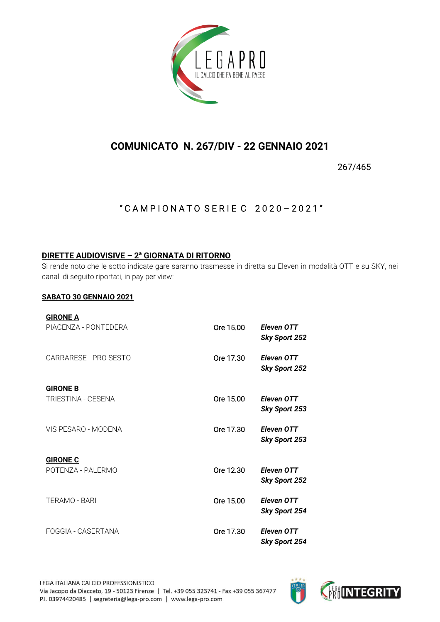

# **COMUNICATO N. 267/DIV - 22 GENNAIO 2021**

267/465

### " CAMPIONATO SERIE C 2020-2021"

### **DIRETTE AUDIOVISIVE – 2 <sup>a</sup> GIORNATA DI RITORNO**

Si rende noto che le sotto indicate gare saranno trasmesse in diretta su Eleven in modalità OTT e su SKY, nei canali di seguito riportati, in pay per view:

#### **SABATO 30 GENNAIO 2021**

| <b>GIRONE A</b>       |           |                                           |
|-----------------------|-----------|-------------------------------------------|
| PIACENZA - PONTEDERA  | Ore 15.00 | Eleven OTT<br><b>Sky Sport 252</b>        |
| CARRARESE - PRO SESTO | Ore 17.30 | Eleven OTT<br><b>Sky Sport 252</b>        |
| <b>GIRONE B</b>       |           |                                           |
| TRIESTINA - CESENA    | Ore 15.00 | Eleven OTT<br><b>Sky Sport 253</b>        |
| VIS PESARO - MODENA   | Ore 17.30 | <b>Eleven OTT</b><br><b>Sky Sport 253</b> |
| <b>GIRONE C</b>       |           |                                           |
| POTENZA - PALERMO     | Ore 12.30 | <b>Eleven OTT</b><br><b>Sky Sport 252</b> |
| TERAMO - BARI         | Ore 15.00 | <b>Eleven OTT</b><br><b>Sky Sport 254</b> |
| FOGGIA - CASERTANA    | Ore 17.30 | <b>Eleven OTT</b><br>Sky Sport 254        |